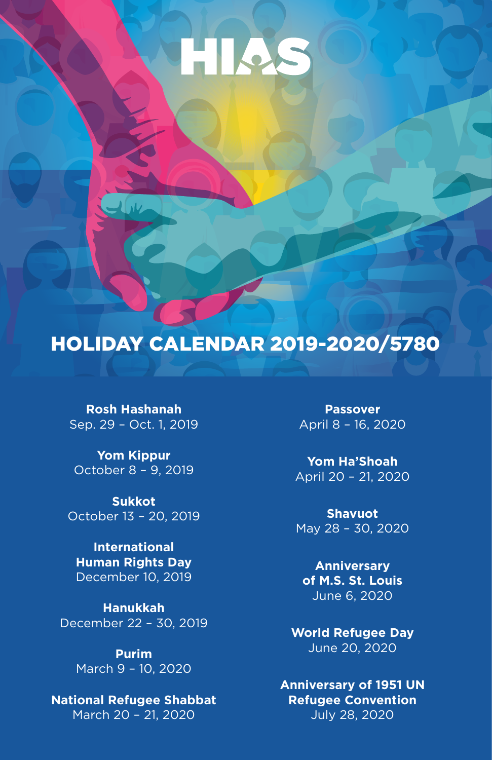# HIAS

## HOLIDAY CALENDAR 2019-2020/5780

**Rosh Hashanah** Sep. 29 – Oct. 1, 2019

**Yom Kippur** October 8 – 9, 2019

**Sukkot** October 13 – 20, 2019

**International Human Rights Day** December 10, 2019

**Hanukkah** December 22 – 30, 2019

> **Purim** March 9 – 10, 2020

**National Refugee Shabbat** March 20 – 21, 2020

**Passover** April 8 – 16, 2020

**Yom Ha'Shoah** April 20 – 21, 2020

**Shavuot** May 28 – 30, 2020

**Anniversary of M.S. St. Louis** June 6, 2020

**World Refugee Day** June 20, 2020

**Anniversary of 1951 UN Refugee Convention** July 28, 2020